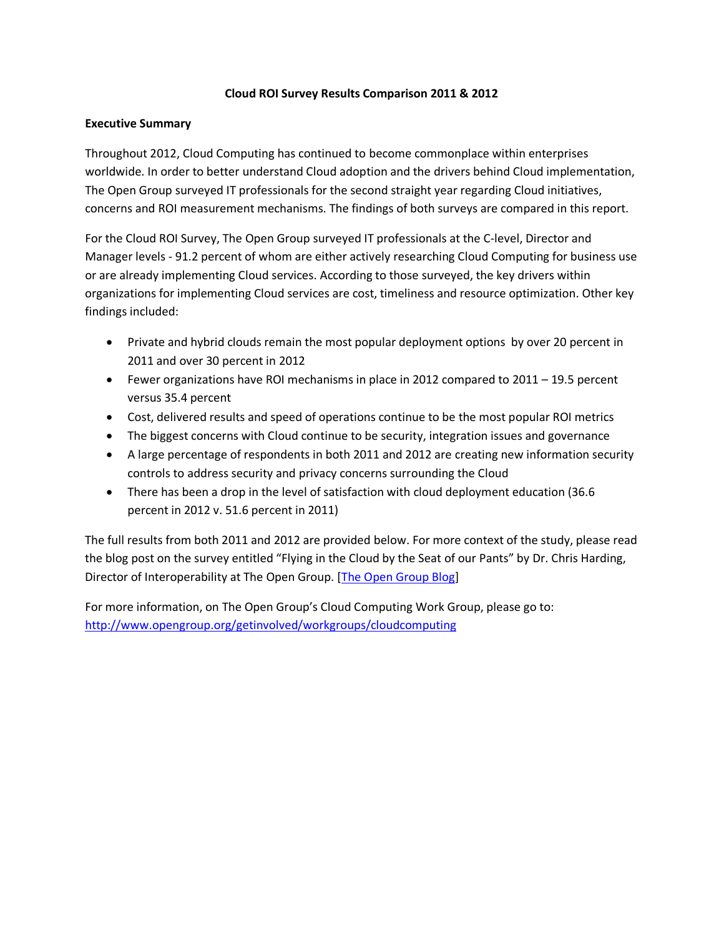# **Cloud ROI Survey Results Comparison 2011 & 2012**

# **Executive Summary**

Throughout 2012, Cloud Computing has continued to become commonplace within enterprises worldwide. In order to better understand Cloud adoption and the drivers behind Cloud implementation, The Open Group surveyed IT professionals for the second straight year regarding Cloud initiatives, concerns and ROI measurement mechanisms. The findings of both surveys are compared in this report.

For the Cloud ROI Survey, The Open Group surveyed IT professionals at the C-level, Director and Manager levels - 91.2 percent of whom are either actively researching Cloud Computing for business use or are already implementing Cloud services. According to those surveyed, the key drivers within organizations for implementing Cloud services are cost, timeliness and resource optimization. Other key findings included:

- Private and hybrid clouds remain the most popular deployment options by over 20 percent in 2011 and over 30 percent in 2012
- Fewer organizations have ROI mechanisms in place in 2012 compared to 2011 19.5 percent versus 35.4 percent
- Cost, delivered results and speed of operations continue to be the most popular ROI metrics
- The biggest concerns with Cloud continue to be security, integration issues and governance
- A large percentage of respondents in both 2011 and 2012 are creating new information security controls to address security and privacy concerns surrounding the Cloud
- There has been a drop in the level of satisfaction with cloud deployment education (36.6) percent in 2012 v. 51.6 percent in 2011)

The full results from both 2011 and 2012 are provided below. For more context of the study, please read the blog post on the survey entitled "Flying in the Cloud by the Seat of our Pants" by Dr. Chris Harding, Director of Interoperability at The Open Group. [\[The Open Group Blog\]](http://blog.opengroup.org/)

For more information, on The Open Group's Cloud Computing Work Group, please go to: <http://www.opengroup.org/getinvolved/workgroups/cloudcomputing>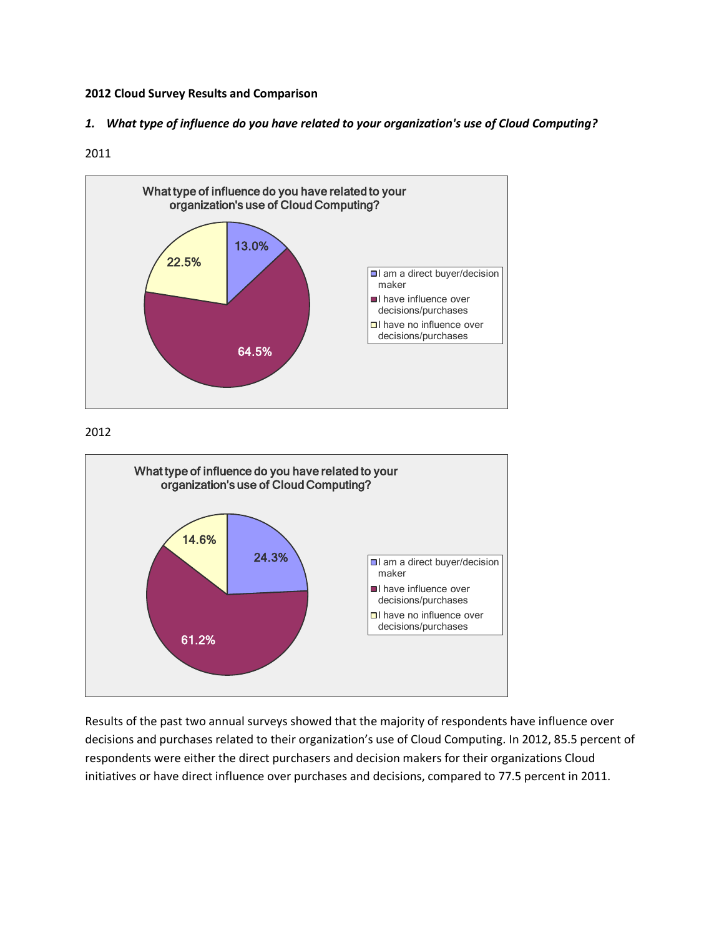## **2012 Cloud Survey Results and Comparison**

*1. What type of influence do you have related to your organization's use of Cloud Computing?*

### 2011



# 2012



Results of the past two annual surveys showed that the majority of respondents have influence over decisions and purchases related to their organization's use of Cloud Computing. In 2012, 85.5 percent of respondents were either the direct purchasers and decision makers for their organizations Cloud initiatives or have direct influence over purchases and decisions, compared to 77.5 percent in 2011.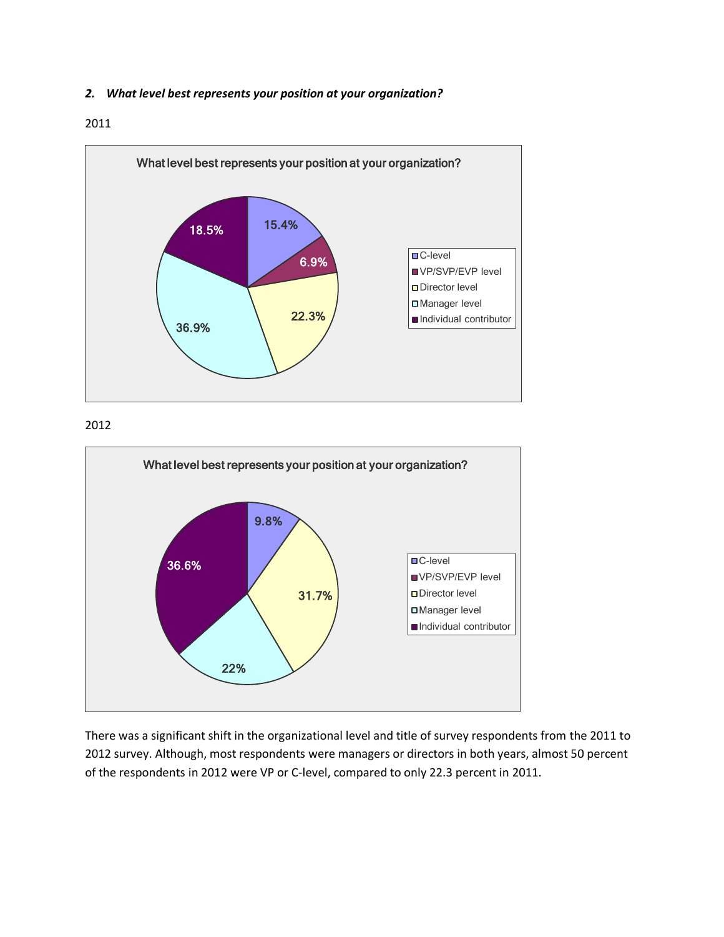## *2. What level best represents your position at your organization?*

### 2011



## 2012



There was a significant shift in the organizational level and title of survey respondents from the 2011 to 2012 survey. Although, most respondents were managers or directors in both years, almost 50 percent of the respondents in 2012 were VP or C-level, compared to only 22.3 percent in 2011.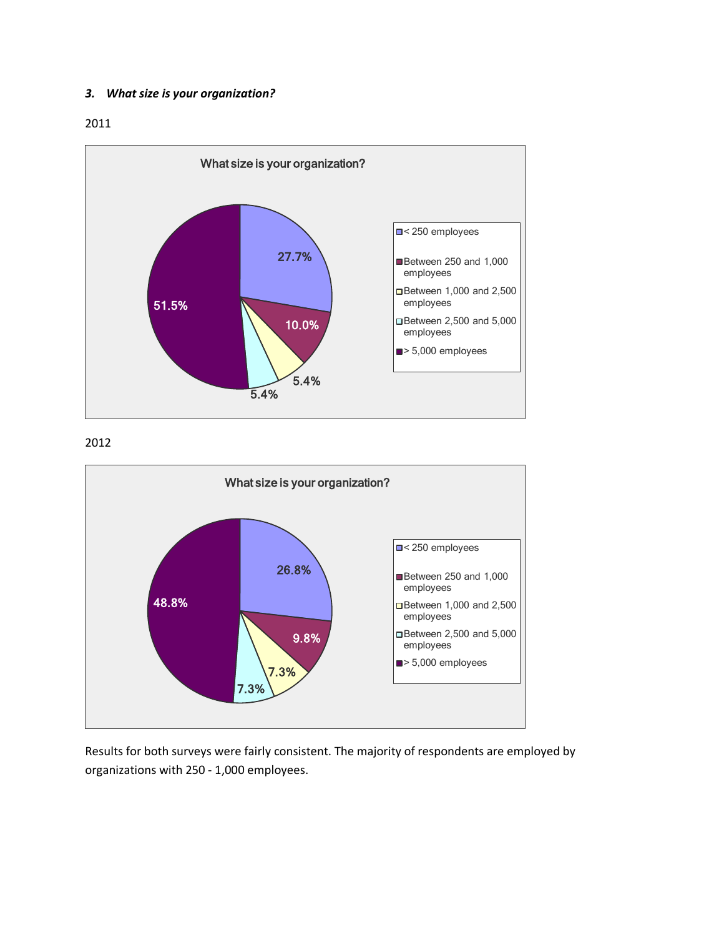### *3. What size is your organization?*

2011



# 2012



Results for both surveys were fairly consistent. The majority of respondents are employed by organizations with 250 - 1,000 employees.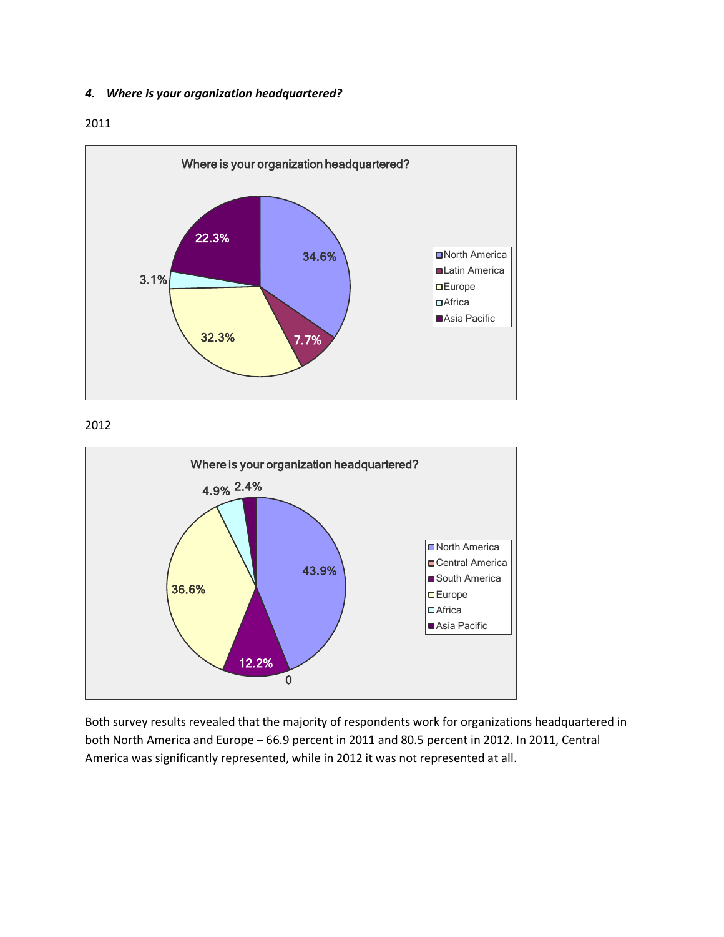## *4. Where is your organization headquartered?*

## 2011



## 2012



Both survey results revealed that the majority of respondents work for organizations headquartered in both North America and Europe – 66.9 percent in 2011 and 80.5 percent in 2012. In 2011, Central America was significantly represented, while in 2012 it was not represented at all.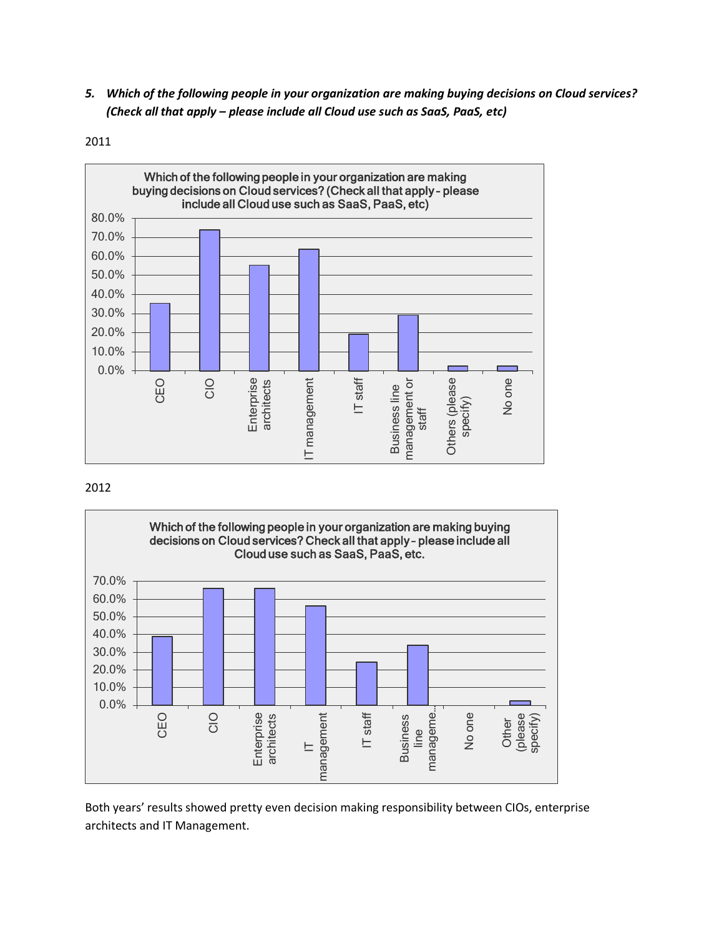*5. Which of the following people in your organization are making buying decisions on Cloud services? (Check all that apply – please include all Cloud use such as SaaS, PaaS, etc)*



2011

# 2012



Both years' results showed pretty even decision making responsibility between CIOs, enterprise architects and IT Management.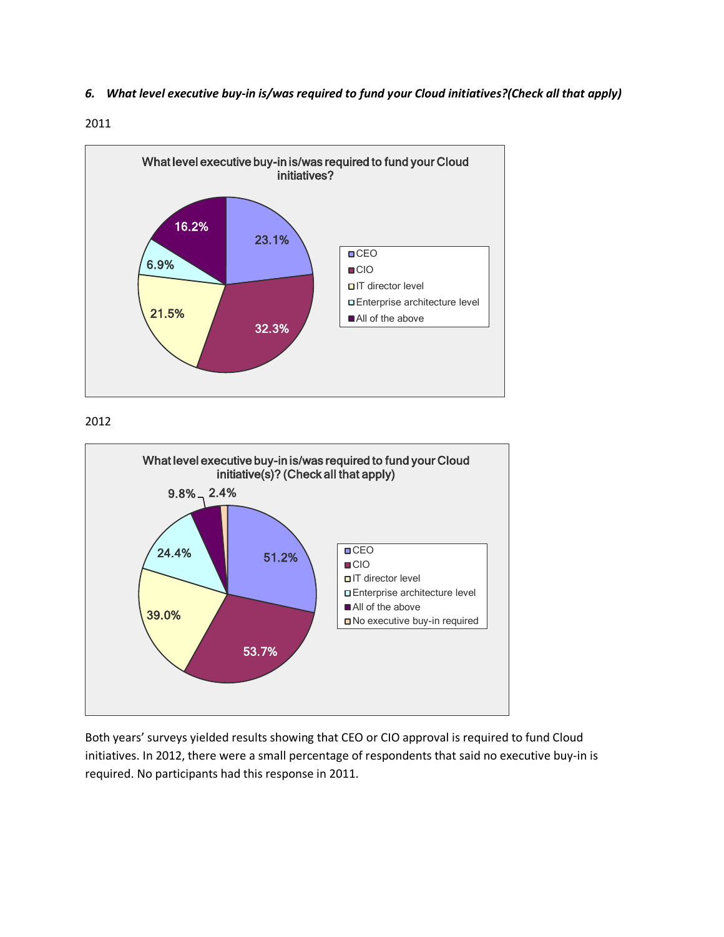*6. What level executive buy-in is/was required to fund your Cloud initiatives?(Check all that apply)*







Both years' surveys yielded results showing that CEO or CIO approval is required to fund Cloud initiatives. In 2012, there were a small percentage of respondents that said no executive buy-in is required. No participants had this response in 2011.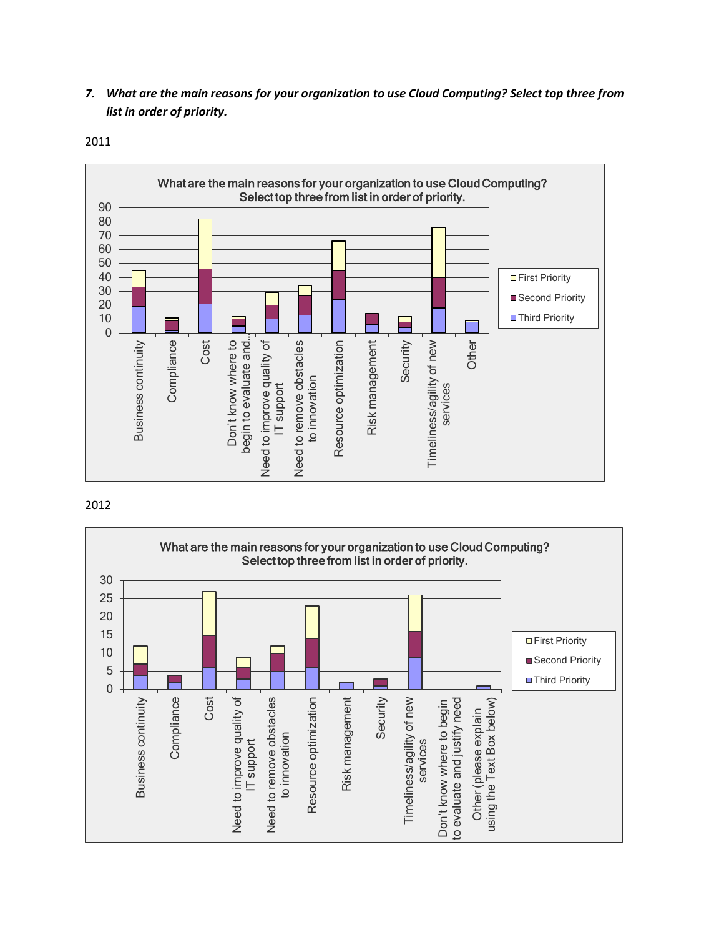*7. What are the main reasons for your organization to use Cloud Computing? Select top three from list in order of priority.*

2011



### 2012

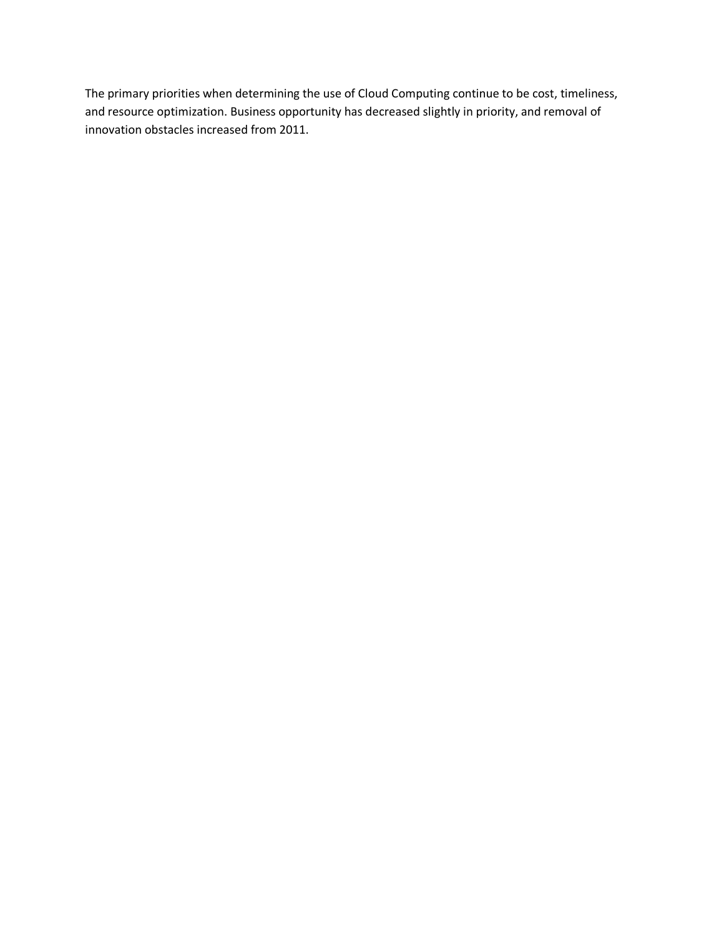The primary priorities when determining the use of Cloud Computing continue to be cost, timeliness, and resource optimization. Business opportunity has decreased slightly in priority, and removal of innovation obstacles increased from 2011.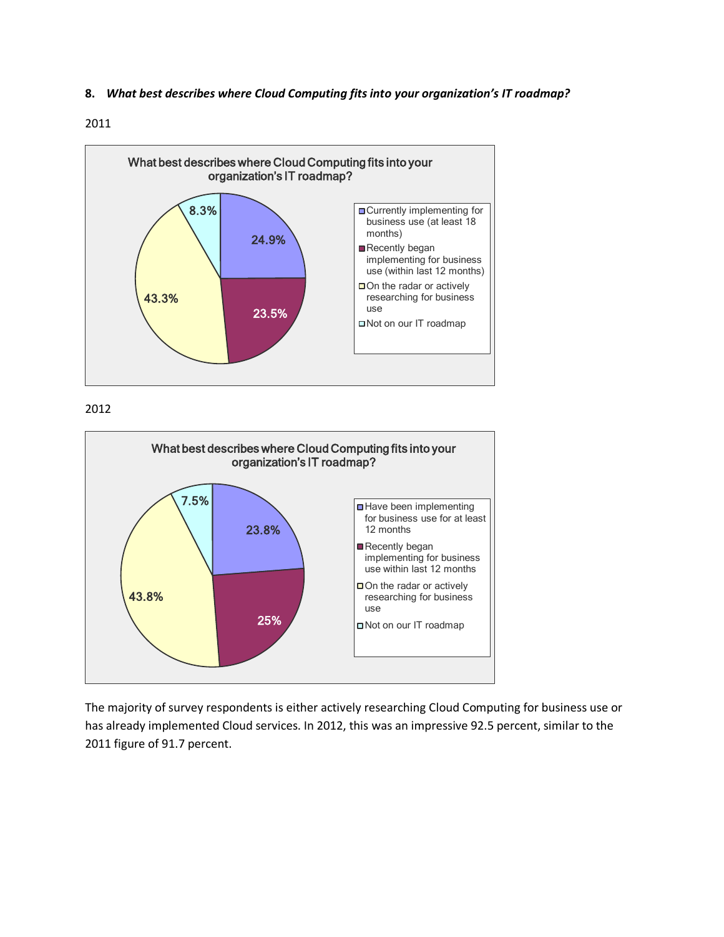### **8.** *What best describes where Cloud Computing fits into your organization's IT roadmap?*

### 2011



2012



The majority of survey respondents is either actively researching Cloud Computing for business use or has already implemented Cloud services. In 2012, this was an impressive 92.5 percent, similar to the 2011 figure of 91.7 percent.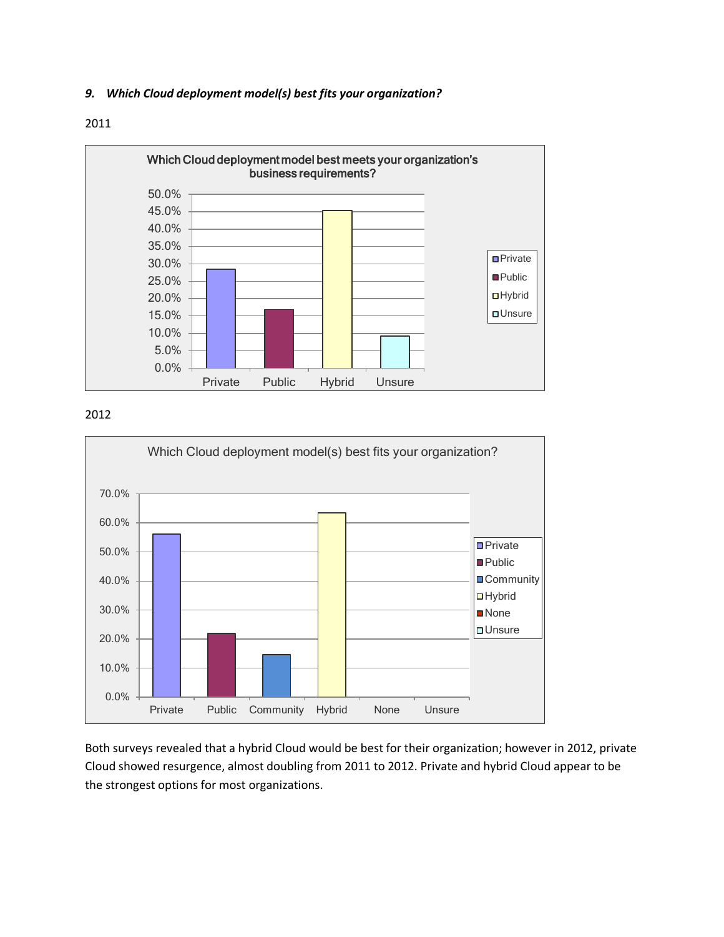# *9. Which Cloud deployment model(s) best fits your organization?*





## 2012



Both surveys revealed that a hybrid Cloud would be best for their organization; however in 2012, private Cloud showed resurgence, almost doubling from 2011 to 2012. Private and hybrid Cloud appear to be the strongest options for most organizations.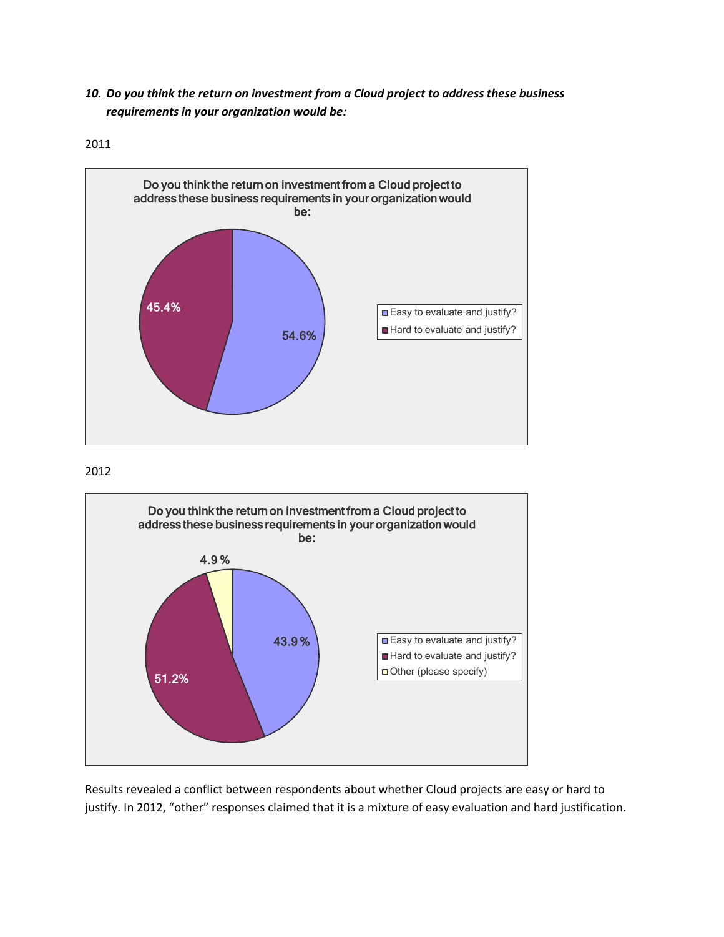*10. Do you think the return on investment from a Cloud project to address these business requirements in your organization would be:*









Results revealed a conflict between respondents about whether Cloud projects are easy or hard to justify. In 2012, "other" responses claimed that it is a mixture of easy evaluation and hard justification.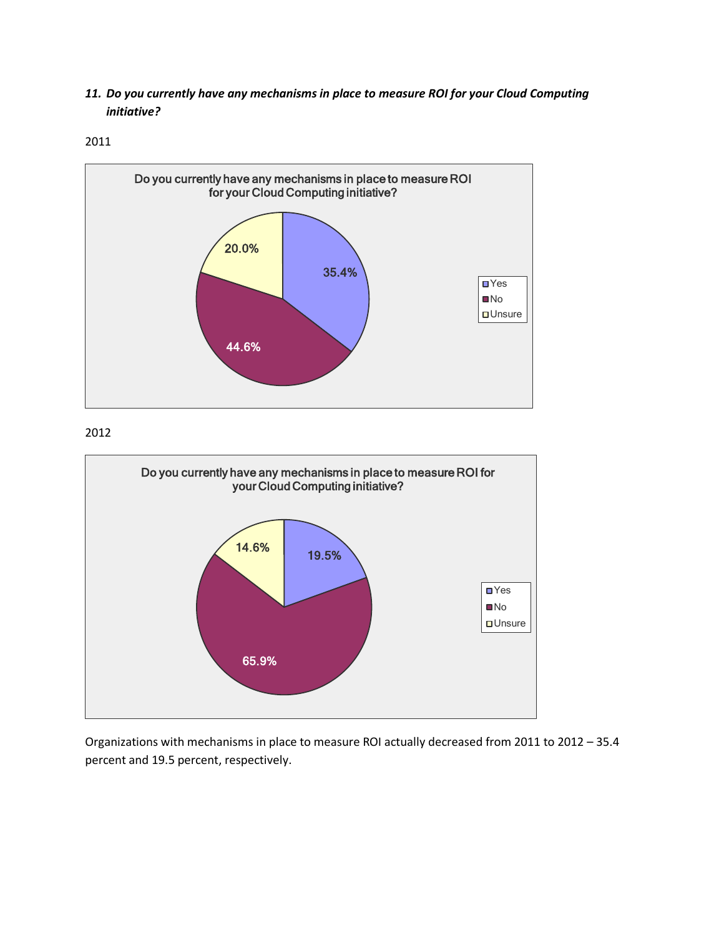*11. Do you currently have any mechanisms in place to measure ROI for your Cloud Computing initiative?*

2011



2012



Organizations with mechanisms in place to measure ROI actually decreased from 2011 to 2012 – 35.4 percent and 19.5 percent, respectively.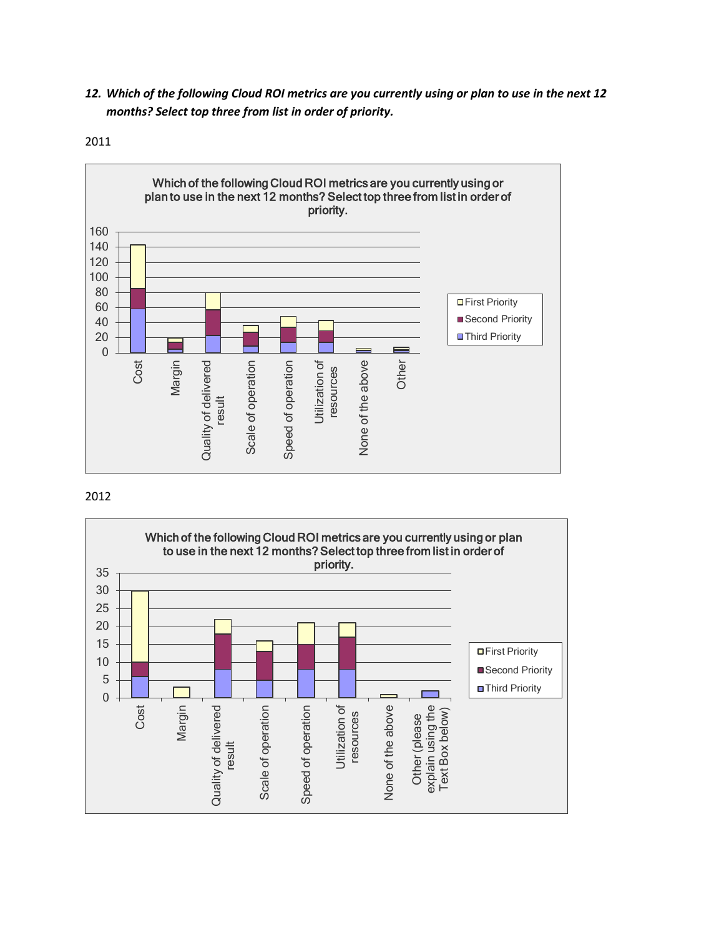*12. Which of the following Cloud ROI metrics are you currently using or plan to use in the next 12 months? Select top three from list in order of priority.*



2011

# 2012

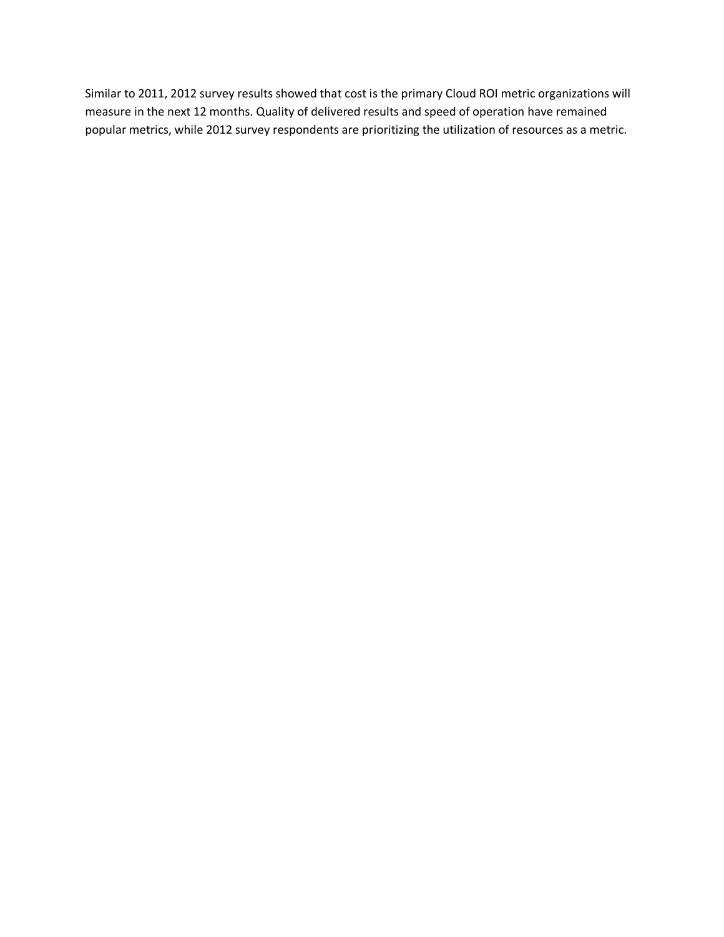Similar to 2011, 2012 survey results showed that cost is the primary Cloud ROI metric organizations will measure in the next 12 months. Quality of delivered results and speed of operation have remained popular metrics, while 2012 survey respondents are prioritizing the utilization of resources as a metric.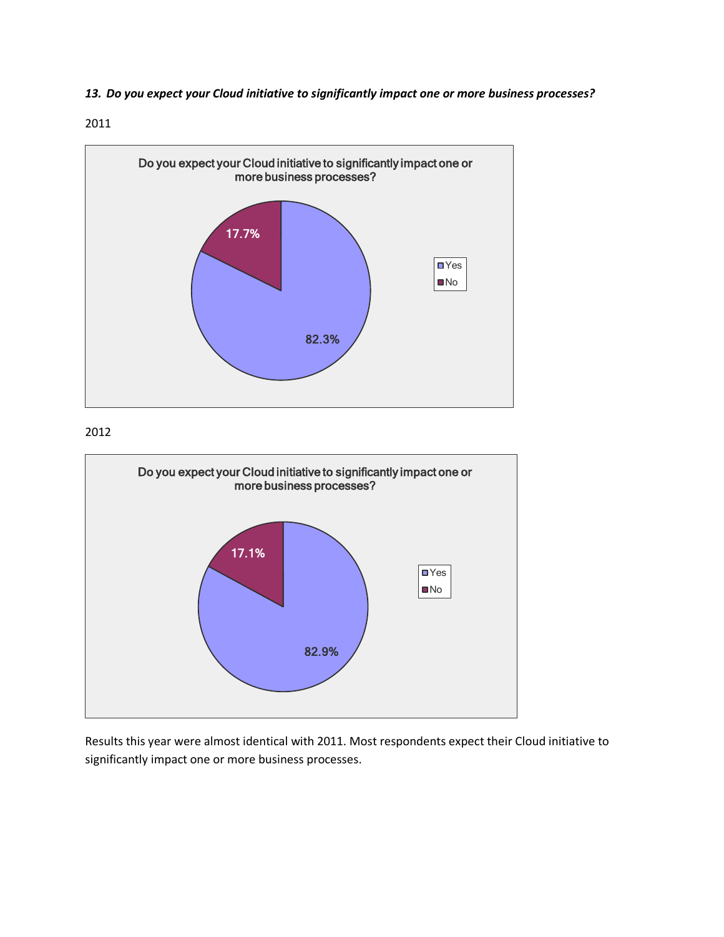*13. Do you expect your Cloud initiative to significantly impact one or more business processes?*



2012



Results this year were almost identical with 2011. Most respondents expect their Cloud initiative to significantly impact one or more business processes.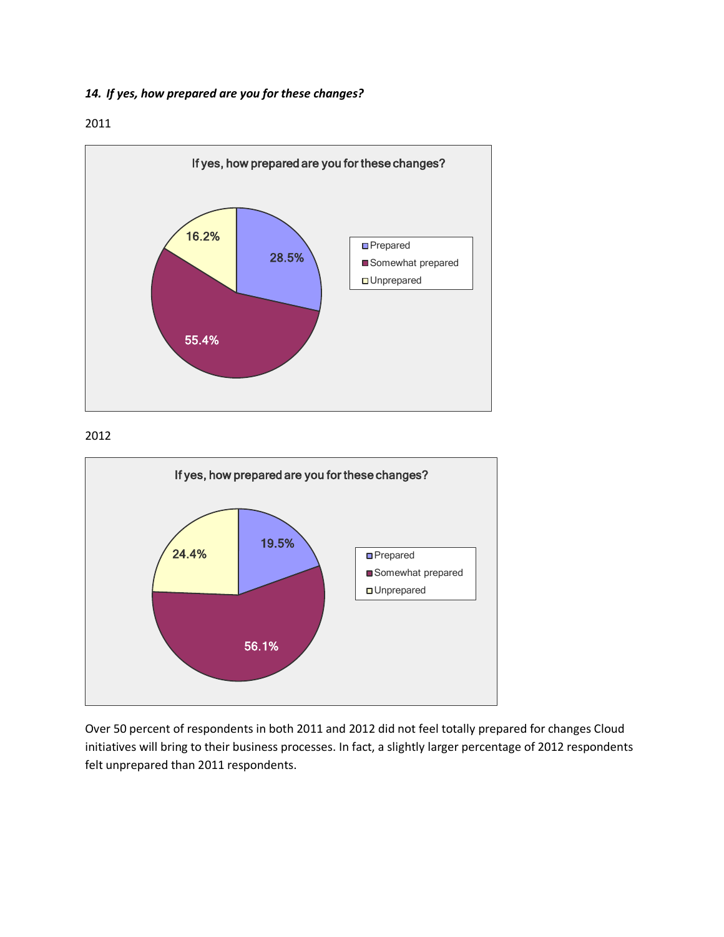*14. If yes, how prepared are you for these changes?*



# 2012



Over 50 percent of respondents in both 2011 and 2012 did not feel totally prepared for changes Cloud initiatives will bring to their business processes. In fact, a slightly larger percentage of 2012 respondents felt unprepared than 2011 respondents.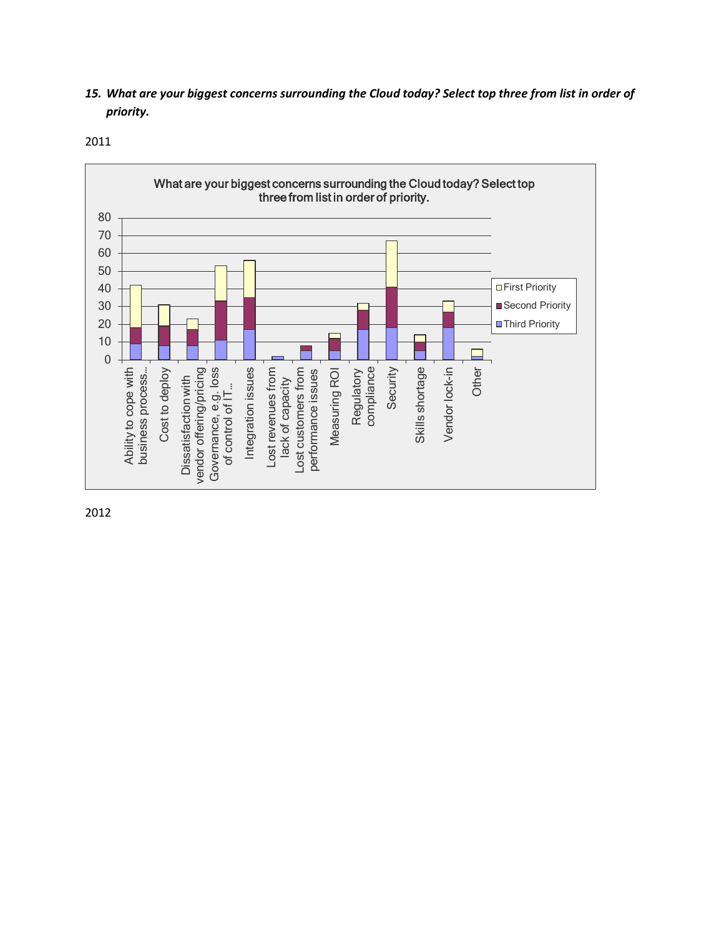*15. What are your biggest concerns surrounding the Cloud today? Select top three from list in order of priority.*



2012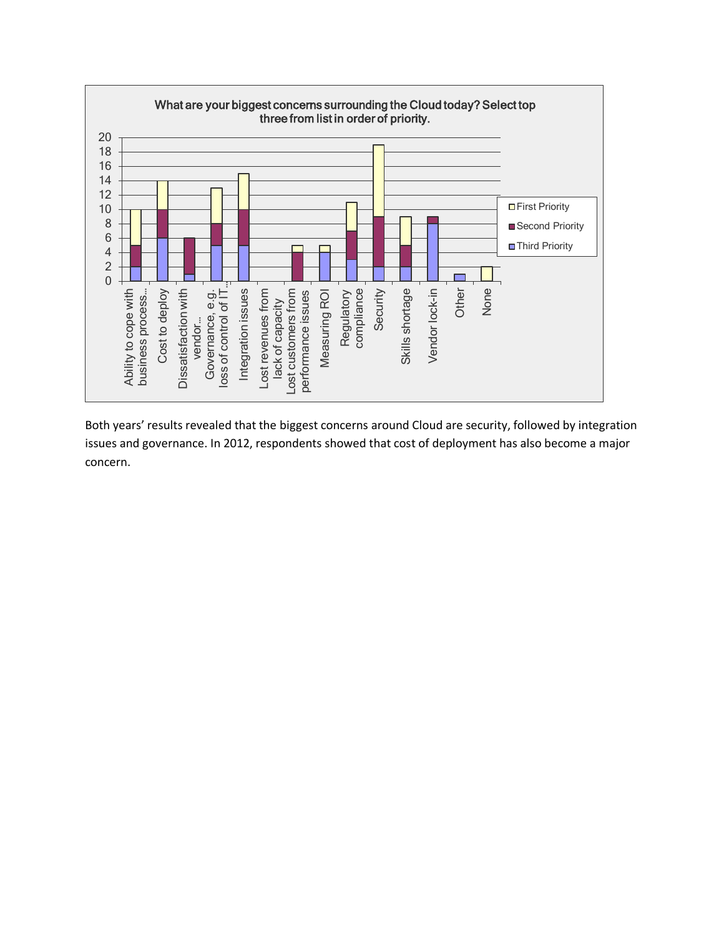

Both years' results revealed that the biggest concerns around Cloud are security, followed by integration issues and governance. In 2012, respondents showed that cost of deployment has also become a major concern.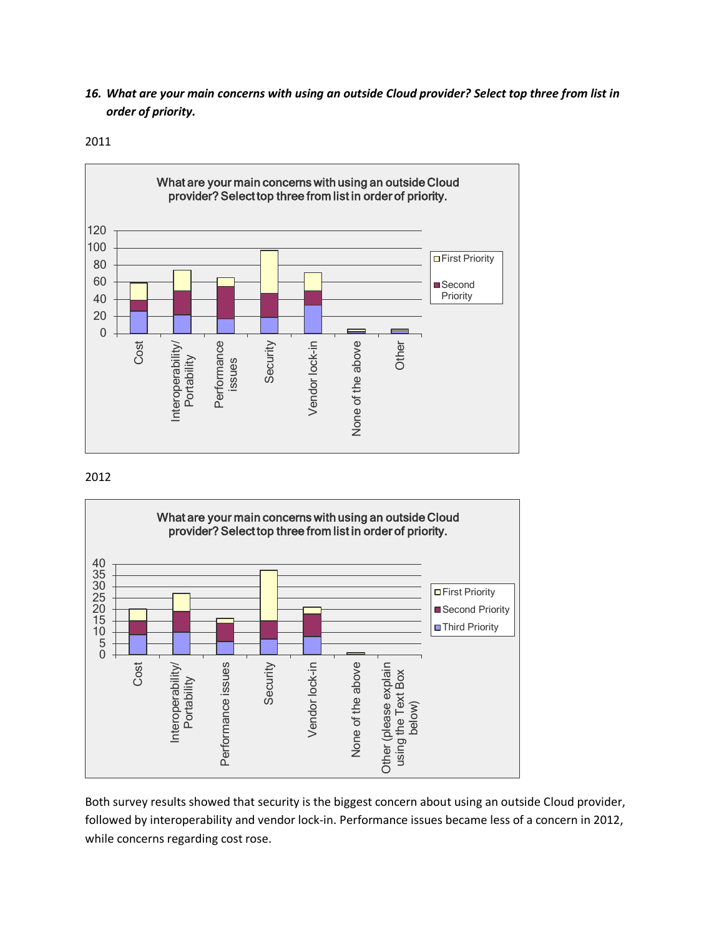*16. What are your main concerns with using an outside Cloud provider? Select top three from list in order of priority.*

2011



### 2012



Both survey results showed that security is the biggest concern about using an outside Cloud provider, followed by interoperability and vendor lock-in. Performance issues became less of a concern in 2012, while concerns regarding cost rose.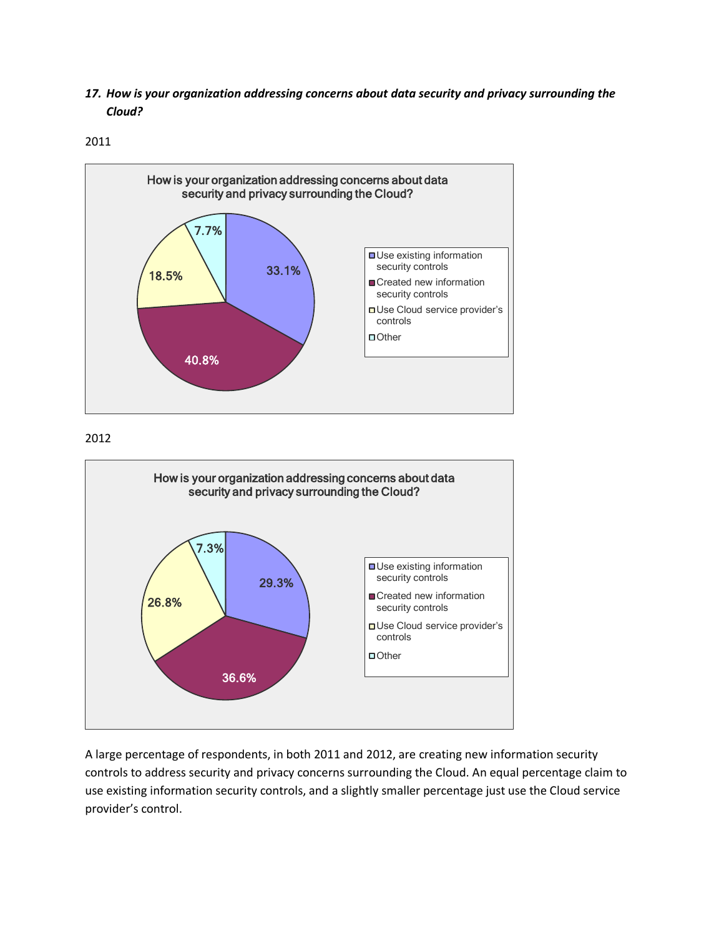*17. How is your organization addressing concerns about data security and privacy surrounding the Cloud?*

2011



2012



A large percentage of respondents, in both 2011 and 2012, are creating new information security controls to address security and privacy concerns surrounding the Cloud. An equal percentage claim to use existing information security controls, and a slightly smaller percentage just use the Cloud service provider's control.